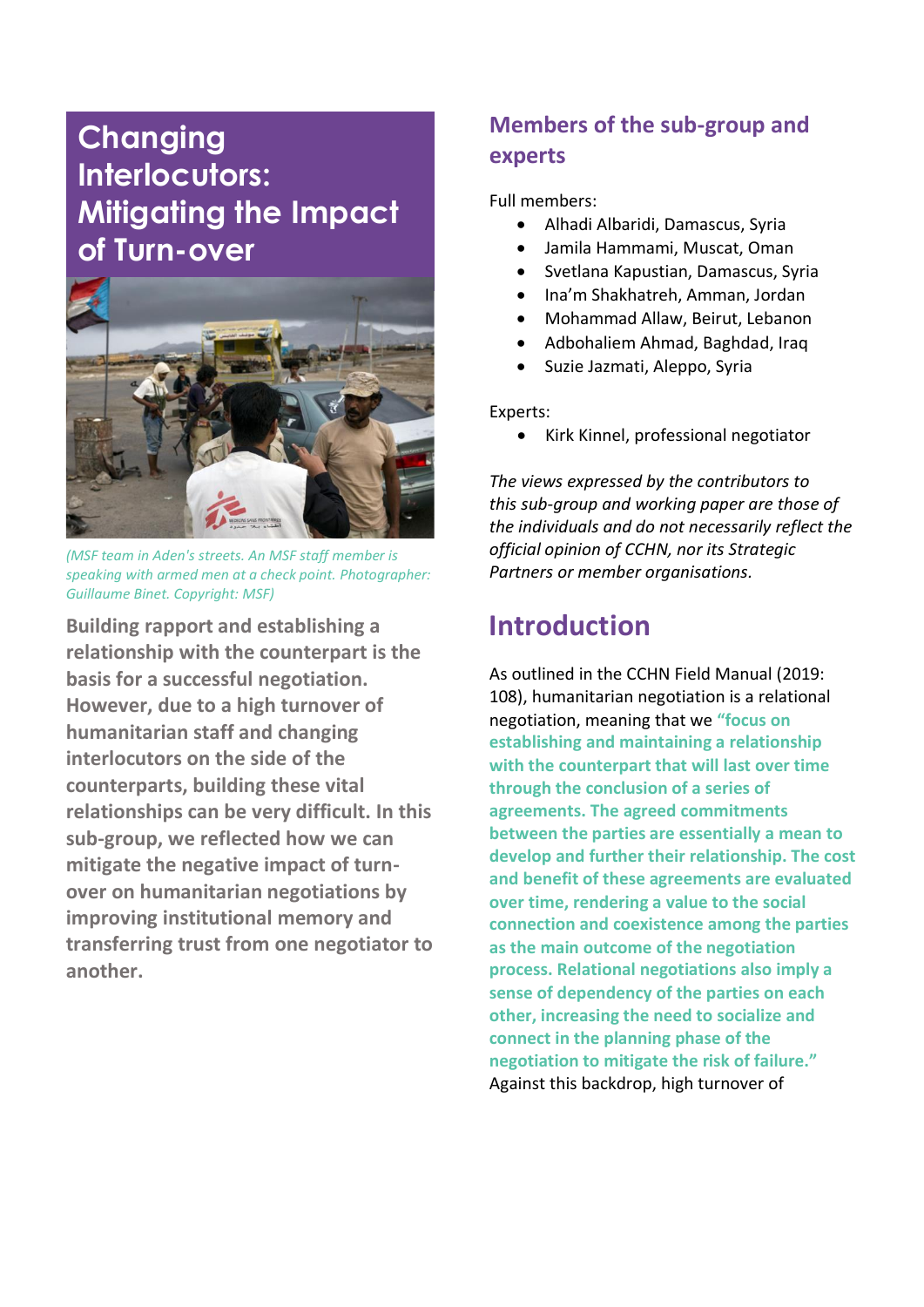# **Changing Interlocutors: Mitigating the Impact of Turn-over**



*(MSF team in Aden's streets. An MSF staff member is speaking with armed men at a check point. Photographer: Guillaume Binet. Copyright: MSF)*

**Building rapport and establishing a relationship with the counterpart is the basis for a successful negotiation. However, due to a high turnover of humanitarian staff and changing interlocutors on the side of the counterparts, building these vital relationships can be very difficult. In this sub-group, we reflected how we can mitigate the negative impact of turnover on humanitarian negotiations by improving institutional memory and transferring trust from one negotiator to another.** 

## **Members of the sub-group and experts**

Full members:

- Alhadi Albaridi, Damascus, Syria
- Jamila Hammami, Muscat, Oman
- Svetlana Kapustian, Damascus, Syria
- Ina'm Shakhatreh, Amman, Jordan
- Mohammad Allaw, Beirut, Lebanon
- Adbohaliem Ahmad, Baghdad, Iraq
- Suzie Jazmati, Aleppo, Syria

Experts:

• Kirk Kinnel, professional negotiator

*The views expressed by the contributors to this sub-group and working paper are those of the individuals and do not necessarily reflect the official opinion of CCHN, nor its Strategic Partners or member organisations.*

## **Introduction**

As outlined in the CCHN Field Manual (2019: 108), humanitarian negotiation is a relational negotiation, meaning that we **"focus on establishing and maintaining a relationship with the counterpart that will last over time through the conclusion of a series of agreements. The agreed commitments between the parties are essentially a mean to develop and further their relationship. The cost and benefit of these agreements are evaluated over time, rendering a value to the social connection and coexistence among the parties as the main outcome of the negotiation process. Relational negotiations also imply a sense of dependency of the parties on each other, increasing the need to socialize and connect in the planning phase of the negotiation to mitigate the risk of failure."** Against this backdrop, high turnover of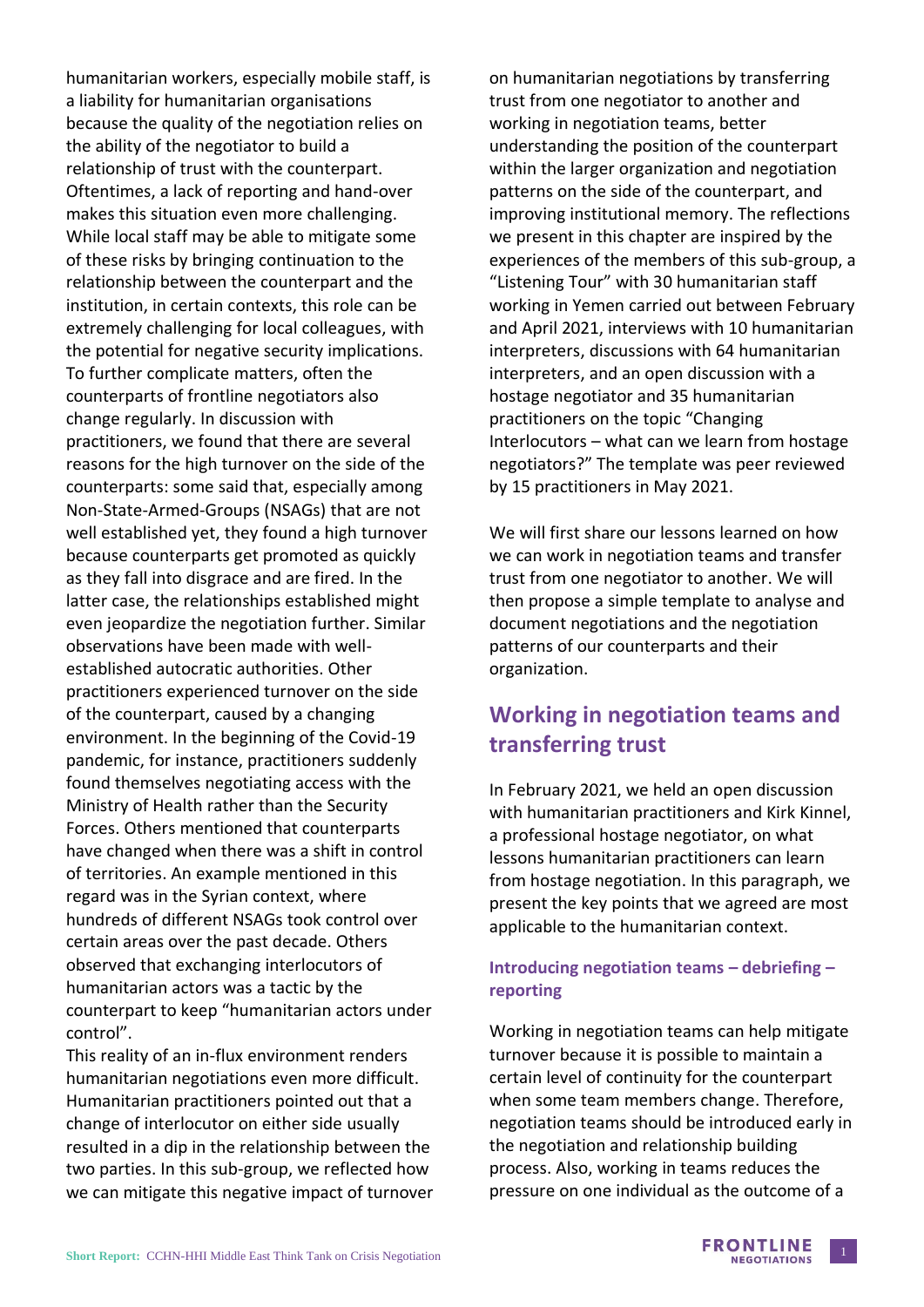humanitarian workers, especially mobile staff, is a liability for humanitarian organisations because the quality of the negotiation relies on the ability of the negotiator to build a relationship of trust with the counterpart. Oftentimes, a lack of reporting and hand-over makes this situation even more challenging. While local staff may be able to mitigate some of these risks by bringing continuation to the relationship between the counterpart and the institution, in certain contexts, this role can be extremely challenging for local colleagues, with the potential for negative security implications. To further complicate matters, often the counterparts of frontline negotiators also change regularly. In discussion with practitioners, we found that there are several reasons for the high turnover on the side of the counterparts: some said that, especially among Non-State-Armed-Groups (NSAGs) that are not well established yet, they found a high turnover because counterparts get promoted as quickly as they fall into disgrace and are fired. In the latter case, the relationships established might even jeopardize the negotiation further. Similar observations have been made with wellestablished autocratic authorities. Other practitioners experienced turnover on the side of the counterpart, caused by a changing environment. In the beginning of the Covid-19 pandemic, for instance, practitioners suddenly found themselves negotiating access with the Ministry of Health rather than the Security Forces. Others mentioned that counterparts have changed when there was a shift in control of territories. An example mentioned in this regard was in the Syrian context, where hundreds of different NSAGs took control over certain areas over the past decade. Others observed that exchanging interlocutors of humanitarian actors was a tactic by the counterpart to keep "humanitarian actors under control".

This reality of an in-flux environment renders humanitarian negotiations even more difficult. Humanitarian practitioners pointed out that a change of interlocutor on either side usually resulted in a dip in the relationship between the two parties. In this sub-group, we reflected how we can mitigate this negative impact of turnover on humanitarian negotiations by transferring trust from one negotiator to another and working in negotiation teams, better understanding the position of the counterpart within the larger organization and negotiation patterns on the side of the counterpart, and improving institutional memory. The reflections we present in this chapter are inspired by the experiences of the members of this sub-group, a "Listening Tour" with 30 humanitarian staff working in Yemen carried out between February and April 2021, interviews with 10 humanitarian interpreters, discussions with 64 humanitarian interpreters, and an open discussion with a hostage negotiator and 35 humanitarian practitioners on the topic "Changing Interlocutors – what can we learn from hostage negotiators?" The template was peer reviewed by 15 practitioners in May 2021.

We will first share our lessons learned on how we can work in negotiation teams and transfer trust from one negotiator to another. We will then propose a simple template to analyse and document negotiations and the negotiation patterns of our counterparts and their organization.

### **Working in negotiation teams and transferring trust**

In February 2021, we held an open discussion with humanitarian practitioners and Kirk Kinnel, a professional hostage negotiator, on what lessons humanitarian practitioners can learn from hostage negotiation. In this paragraph, we present the key points that we agreed are most applicable to the humanitarian context.

#### **Introducing negotiation teams – debriefing – reporting**

Working in negotiation teams can help mitigate turnover because it is possible to maintain a certain level of continuity for the counterpart when some team members change. Therefore, negotiation teams should be introduced early in the negotiation and relationship building process. Also, working in teams reduces the pressure on one individual as the outcome of a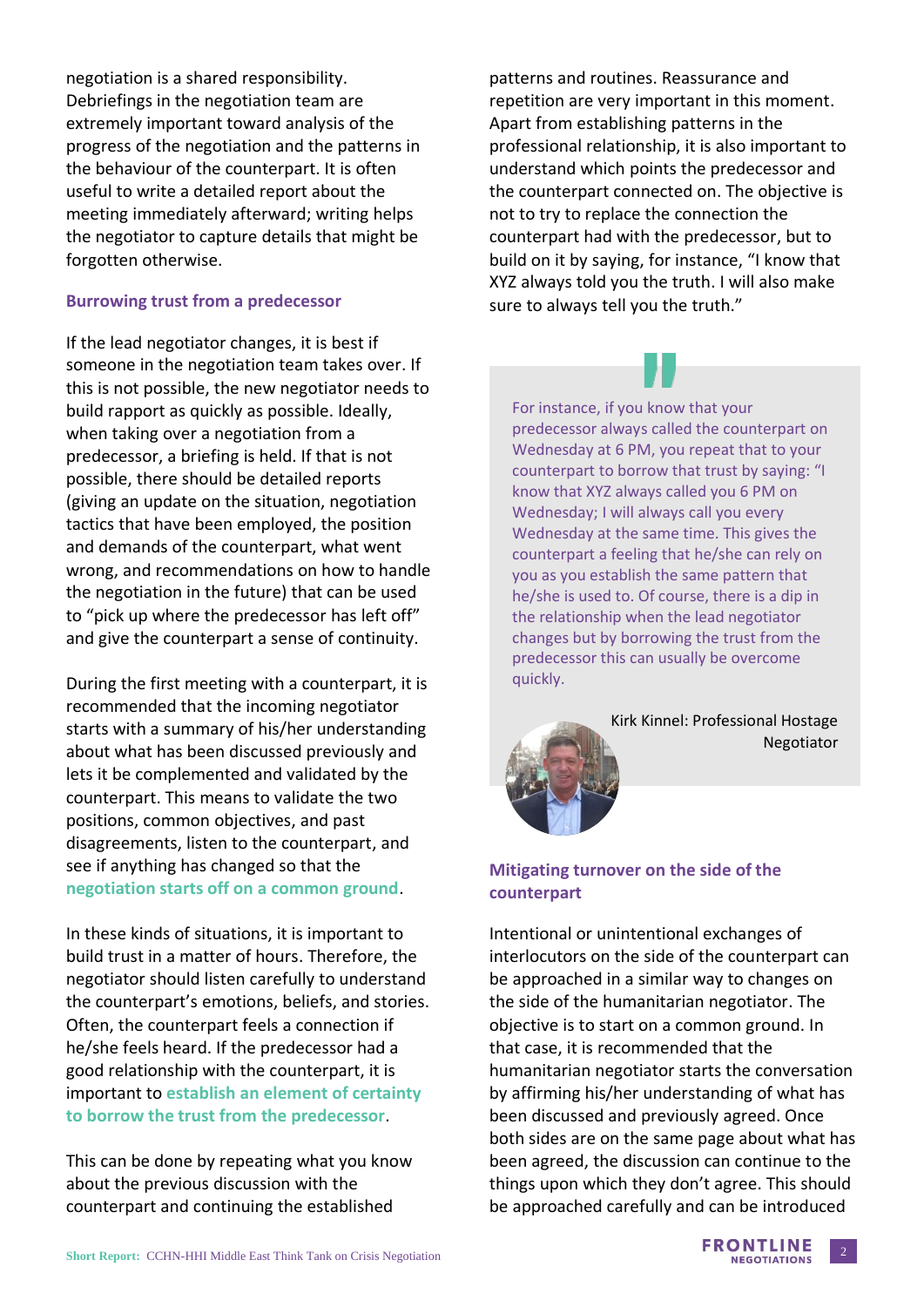negotiation is a shared responsibility. Debriefings in the negotiation team are extremely important toward analysis of the progress of the negotiation and the patterns in the behaviour of the counterpart. It is often useful to write a detailed report about the meeting immediately afterward; writing helps the negotiator to capture details that might be forgotten otherwise.

#### **Burrowing trust from a predecessor**

If the lead negotiator changes, it is best if someone in the negotiation team takes over. If this is not possible, the new negotiator needs to build rapport as quickly as possible. Ideally, when taking over a negotiation from a predecessor, a briefing is held. If that is not possible, there should be detailed reports (giving an update on the situation, negotiation tactics that have been employed, the position and demands of the counterpart, what went wrong, and recommendations on how to handle the negotiation in the future) that can be used to "pick up where the predecessor has left off" and give the counterpart a sense of continuity.

During the first meeting with a counterpart, it is recommended that the incoming negotiator starts with a summary of his/her understanding about what has been discussed previously and lets it be complemented and validated by the counterpart. This means to validate the two positions, common objectives, and past disagreements, listen to the counterpart, and see if anything has changed so that the **negotiation starts off on a common ground**.

In these kinds of situations, it is important to build trust in a matter of hours. Therefore, the negotiator should listen carefully to understand the counterpart's emotions, beliefs, and stories. Often, the counterpart feels a connection if he/she feels heard. If the predecessor had a good relationship with the counterpart, it is important to **establish an element of certainty to borrow the trust from the predecessor**.

This can be done by repeating what you know about the previous discussion with the counterpart and continuing the established

patterns and routines. Reassurance and repetition are very important in this moment. Apart from establishing patterns in the professional relationship, it is also important to understand which points the predecessor and the counterpart connected on. The objective is not to try to replace the connection the counterpart had with the predecessor, but to build on it by saying, for instance, "I know that XYZ always told you the truth. I will also make sure to always tell you the truth."



For instance, if you know that your predecessor always called the counterpart on Wednesday at 6 PM, you repeat that to your counterpart to borrow that trust by saying: "I know that XYZ always called you 6 PM on Wednesday; I will always call you every Wednesday at the same time. This gives the counterpart a feeling that he/she can rely on you as you establish the same pattern that he/she is used to. Of course, there is a dip in the relationship when the lead negotiator changes but by borrowing the trust from the predecessor this can usually be overcome quickly.

> Kirk Kinnel: Professional Hostage Negotiator

#### **Mitigating turnover on the side of the counterpart**

Intentional or unintentional exchanges of interlocutors on the side of the counterpart can be approached in a similar way to changes on the side of the humanitarian negotiator. The objective is to start on a common ground. In that case, it is recommended that the humanitarian negotiator starts the conversation by affirming his/her understanding of what has been discussed and previously agreed. Once both sides are on the same page about what has been agreed, the discussion can continue to the things upon which they don't agree. This should be approached carefully and can be introduced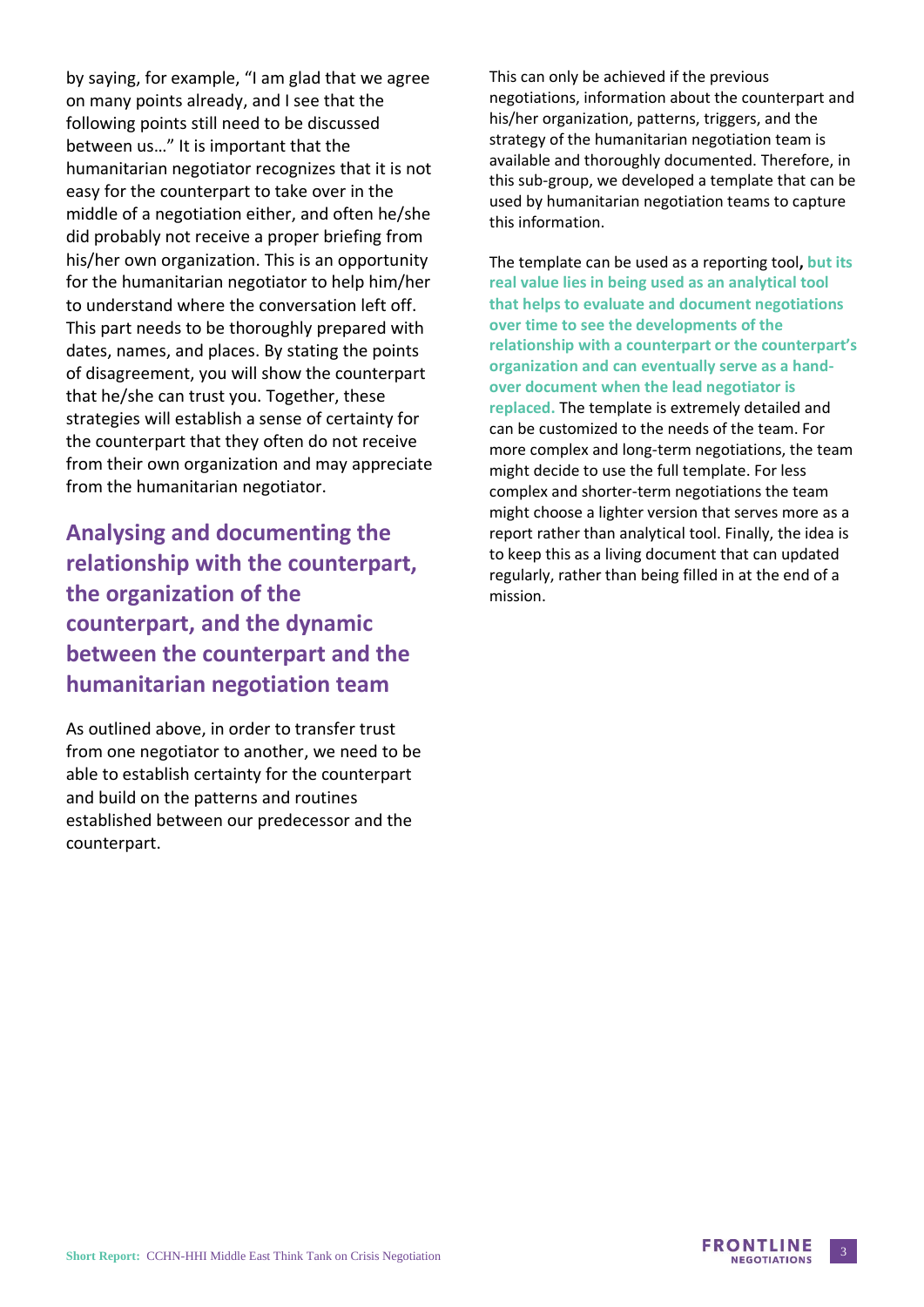by saying, for example, "I am glad that we agree on many points already, and I see that the following points still need to be discussed between us…" It is important that the humanitarian negotiator recognizes that it is not easy for the counterpart to take over in the middle of a negotiation either, and often he/she did probably not receive a proper briefing from his/her own organization. This is an opportunity for the humanitarian negotiator to help him/her to understand where the conversation left off. This part needs to be thoroughly prepared with dates, names, and places. By stating the points of disagreement, you will show the counterpart that he/she can trust you. Together, these strategies will establish a sense of certainty for the counterpart that they often do not receive from their own organization and may appreciate from the humanitarian negotiator.

**Analysing and documenting the relationship with the counterpart, the organization of the counterpart, and the dynamic between the counterpart and the humanitarian negotiation team**

As outlined above, in order to transfer trust from one negotiator to another, we need to be able to establish certainty for the counterpart and build on the patterns and routines established between our predecessor and the counterpart.

This can only be achieved if the previous negotiations, information about the counterpart and his/her organization, patterns, triggers, and the strategy of the humanitarian negotiation team is available and thoroughly documented. Therefore, in this sub-group, we developed a template that can be used by humanitarian negotiation teams to capture this information.

The template can be used as a reporting tool**, but its real value lies in being used as an analytical tool that helps to evaluate and document negotiations over time to see the developments of the relationship with a counterpart or the counterpart's organization and can eventually serve as a handover document when the lead negotiator is replaced.** The template is extremely detailed and can be customized to the needs of the team. For more complex and long-term negotiations, the team might decide to use the full template. For less complex and shorter-term negotiations the team might choose a lighter version that serves more as a report rather than analytical tool. Finally, the idea is to keep this as a living document that can updated regularly, rather than being filled in at the end of a mission.

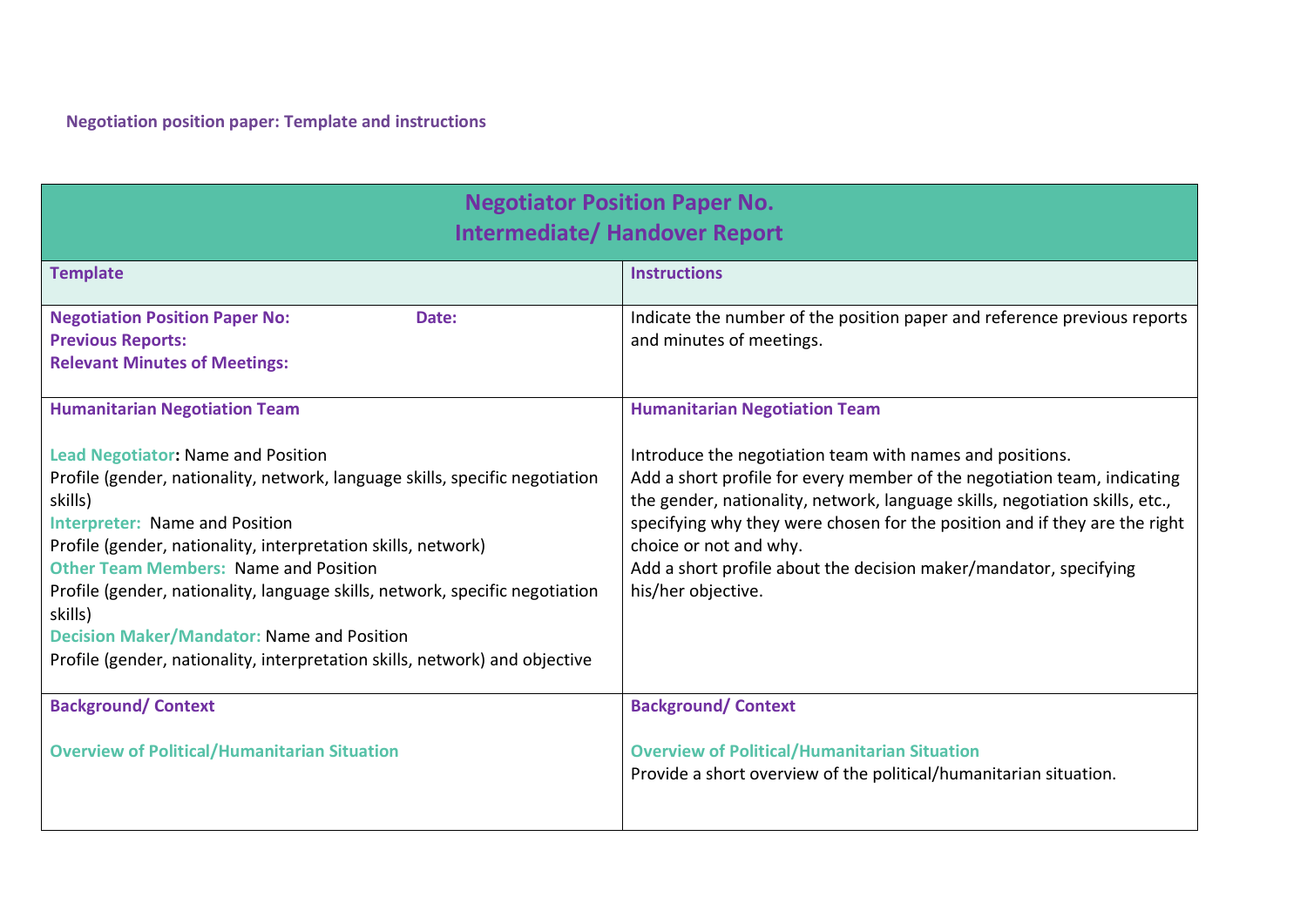| <b>Negotiator Position Paper No.</b><br><b>Intermediate/ Handover Report</b>                                                                                                                                                                                                                                                                                                                                                                                                                                                  |                                                                                                                                                                                                                                                                                                                                                                                                                         |  |
|-------------------------------------------------------------------------------------------------------------------------------------------------------------------------------------------------------------------------------------------------------------------------------------------------------------------------------------------------------------------------------------------------------------------------------------------------------------------------------------------------------------------------------|-------------------------------------------------------------------------------------------------------------------------------------------------------------------------------------------------------------------------------------------------------------------------------------------------------------------------------------------------------------------------------------------------------------------------|--|
| <b>Template</b>                                                                                                                                                                                                                                                                                                                                                                                                                                                                                                               | <b>Instructions</b>                                                                                                                                                                                                                                                                                                                                                                                                     |  |
| <b>Negotiation Position Paper No:</b><br>Date:<br><b>Previous Reports:</b><br><b>Relevant Minutes of Meetings:</b>                                                                                                                                                                                                                                                                                                                                                                                                            | Indicate the number of the position paper and reference previous reports<br>and minutes of meetings.                                                                                                                                                                                                                                                                                                                    |  |
| <b>Humanitarian Negotiation Team</b>                                                                                                                                                                                                                                                                                                                                                                                                                                                                                          | <b>Humanitarian Negotiation Team</b>                                                                                                                                                                                                                                                                                                                                                                                    |  |
| <b>Lead Negotiator: Name and Position</b><br>Profile (gender, nationality, network, language skills, specific negotiation<br>skills)<br><b>Interpreter: Name and Position</b><br>Profile (gender, nationality, interpretation skills, network)<br><b>Other Team Members: Name and Position</b><br>Profile (gender, nationality, language skills, network, specific negotiation<br>skills)<br><b>Decision Maker/Mandator: Name and Position</b><br>Profile (gender, nationality, interpretation skills, network) and objective | Introduce the negotiation team with names and positions.<br>Add a short profile for every member of the negotiation team, indicating<br>the gender, nationality, network, language skills, negotiation skills, etc.,<br>specifying why they were chosen for the position and if they are the right<br>choice or not and why.<br>Add a short profile about the decision maker/mandator, specifying<br>his/her objective. |  |
| <b>Background/Context</b>                                                                                                                                                                                                                                                                                                                                                                                                                                                                                                     | <b>Background/Context</b>                                                                                                                                                                                                                                                                                                                                                                                               |  |
| <b>Overview of Political/Humanitarian Situation</b>                                                                                                                                                                                                                                                                                                                                                                                                                                                                           | <b>Overview of Political/Humanitarian Situation</b><br>Provide a short overview of the political/humanitarian situation.                                                                                                                                                                                                                                                                                                |  |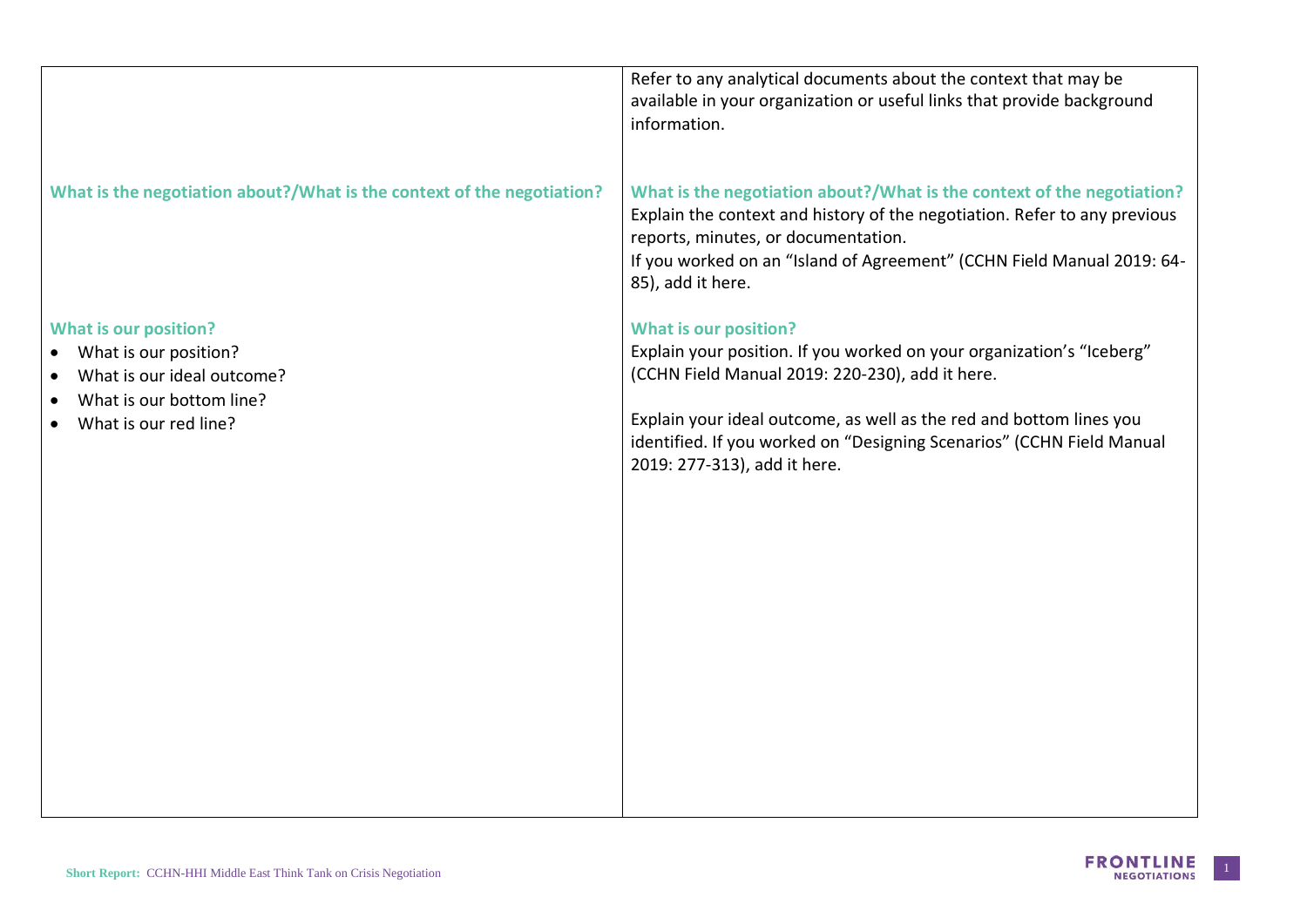|                                                                        | Refer to any analytical documents about the context that may be<br>available in your organization or useful links that provide background<br>information.                                                                                                                                 |
|------------------------------------------------------------------------|-------------------------------------------------------------------------------------------------------------------------------------------------------------------------------------------------------------------------------------------------------------------------------------------|
| What is the negotiation about?/What is the context of the negotiation? | What is the negotiation about?/What is the context of the negotiation?<br>Explain the context and history of the negotiation. Refer to any previous<br>reports, minutes, or documentation.<br>If you worked on an "Island of Agreement" (CCHN Field Manual 2019: 64-<br>85), add it here. |
| <b>What is our position?</b><br>What is our position?                  | <b>What is our position?</b><br>Explain your position. If you worked on your organization's "Iceberg"                                                                                                                                                                                     |
| What is our ideal outcome?                                             | (CCHN Field Manual 2019: 220-230), add it here.                                                                                                                                                                                                                                           |
| What is our bottom line?<br>What is our red line?                      | Explain your ideal outcome, as well as the red and bottom lines you<br>identified. If you worked on "Designing Scenarios" (CCHN Field Manual<br>2019: 277-313), add it here.                                                                                                              |
|                                                                        |                                                                                                                                                                                                                                                                                           |
|                                                                        |                                                                                                                                                                                                                                                                                           |
|                                                                        |                                                                                                                                                                                                                                                                                           |
|                                                                        |                                                                                                                                                                                                                                                                                           |
|                                                                        |                                                                                                                                                                                                                                                                                           |
|                                                                        |                                                                                                                                                                                                                                                                                           |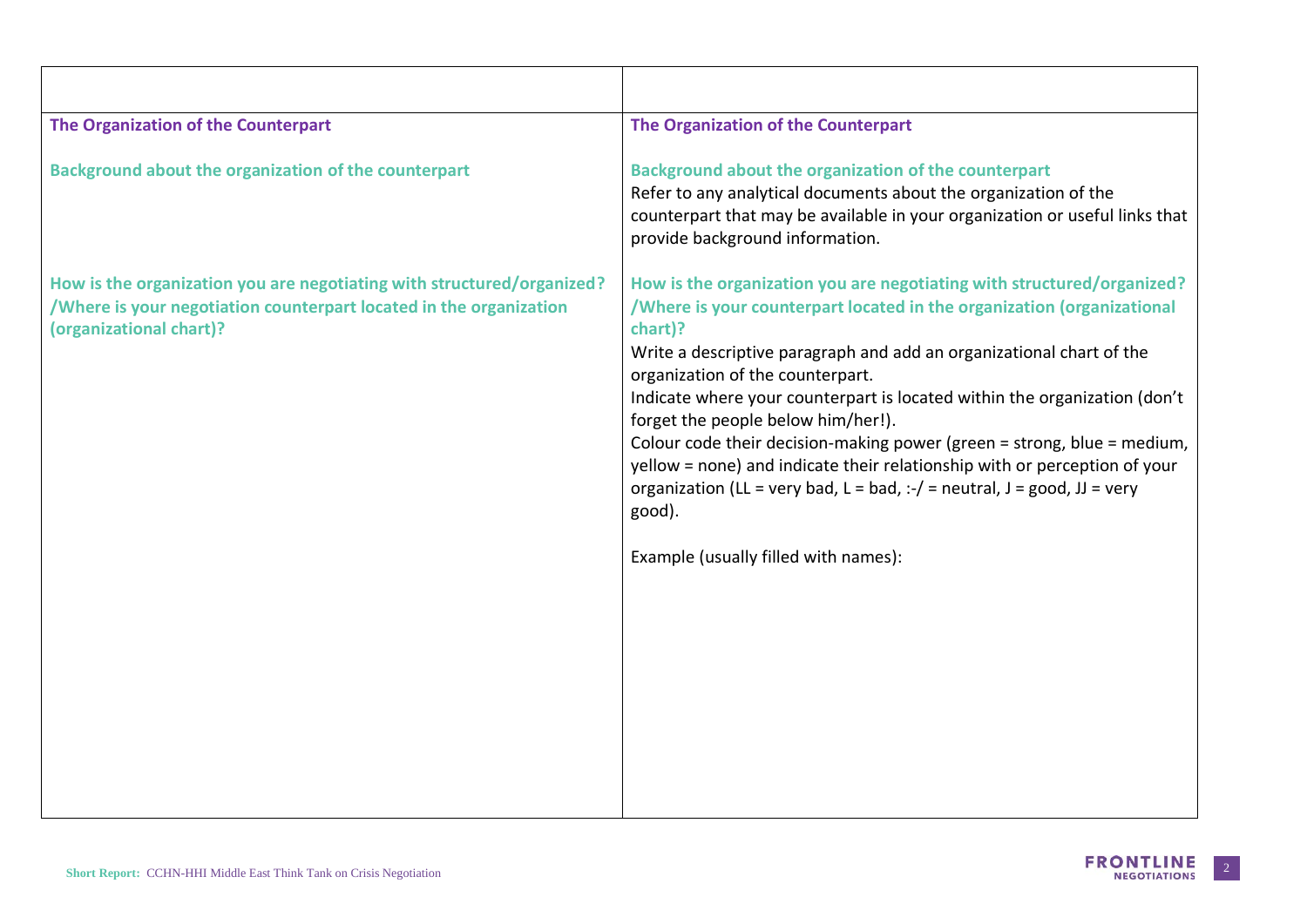| The Organization of the Counterpart                                                                                                                                                                                                                                                                                                                                                                                                                                                                                                                                                                                                                                                |
|------------------------------------------------------------------------------------------------------------------------------------------------------------------------------------------------------------------------------------------------------------------------------------------------------------------------------------------------------------------------------------------------------------------------------------------------------------------------------------------------------------------------------------------------------------------------------------------------------------------------------------------------------------------------------------|
| Background about the organization of the counterpart<br>Refer to any analytical documents about the organization of the<br>counterpart that may be available in your organization or useful links that<br>provide background information.                                                                                                                                                                                                                                                                                                                                                                                                                                          |
| How is the organization you are negotiating with structured/organized?<br>/Where is your counterpart located in the organization (organizational<br>chart)?<br>Write a descriptive paragraph and add an organizational chart of the<br>organization of the counterpart.<br>Indicate where your counterpart is located within the organization (don't<br>forget the people below him/her!).<br>Colour code their decision-making power (green = strong, blue = medium,<br>yellow = none) and indicate their relationship with or perception of your<br>organization (LL = very bad, L = bad, $:-/$ = neutral, J = good, JJ = very<br>good).<br>Example (usually filled with names): |
|                                                                                                                                                                                                                                                                                                                                                                                                                                                                                                                                                                                                                                                                                    |

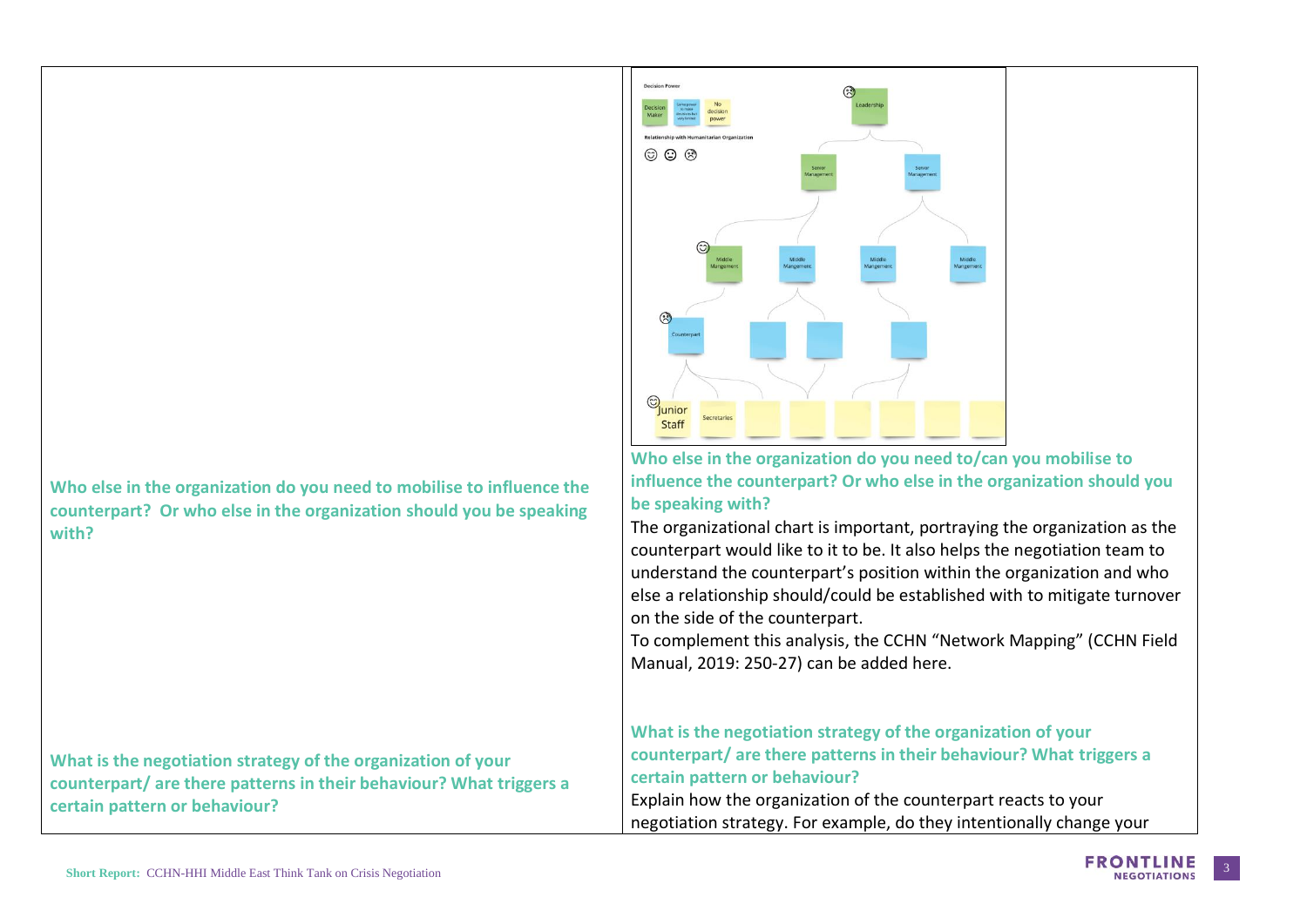**Who else in the organization do you need to mobilise to influence the counterpart? Or who else in the organization should you be speaking with?**

**What is the negotiation strategy of the organization of your counterpart/ are there patterns in their behaviour? What triggers a certain pattern or behaviour?**

# ග ග ඹ  $\bigcirc$  unior Staff

**Who else in the organization do you need to/can you mobilise to influence the counterpart? Or who else in the organization should you be speaking with?**

The organizational chart is important, portraying the organization as the counterpart would like to it to be. It also helps the negotiation team to understand the counterpart's position within the organization and who else a relationship should/could be established with to mitigate turnover on the side of the counterpart.

To complement this analysis, the CCHN "Network Mapping" (CCHN Field Manual, 2019: 250-27) can be added here.

**What is the negotiation strategy of the organization of your counterpart/ are there patterns in their behaviour? What triggers a certain pattern or behaviour?**

Explain how the organization of the counterpart reacts to your negotiation strategy. For example, do they intentionally change your

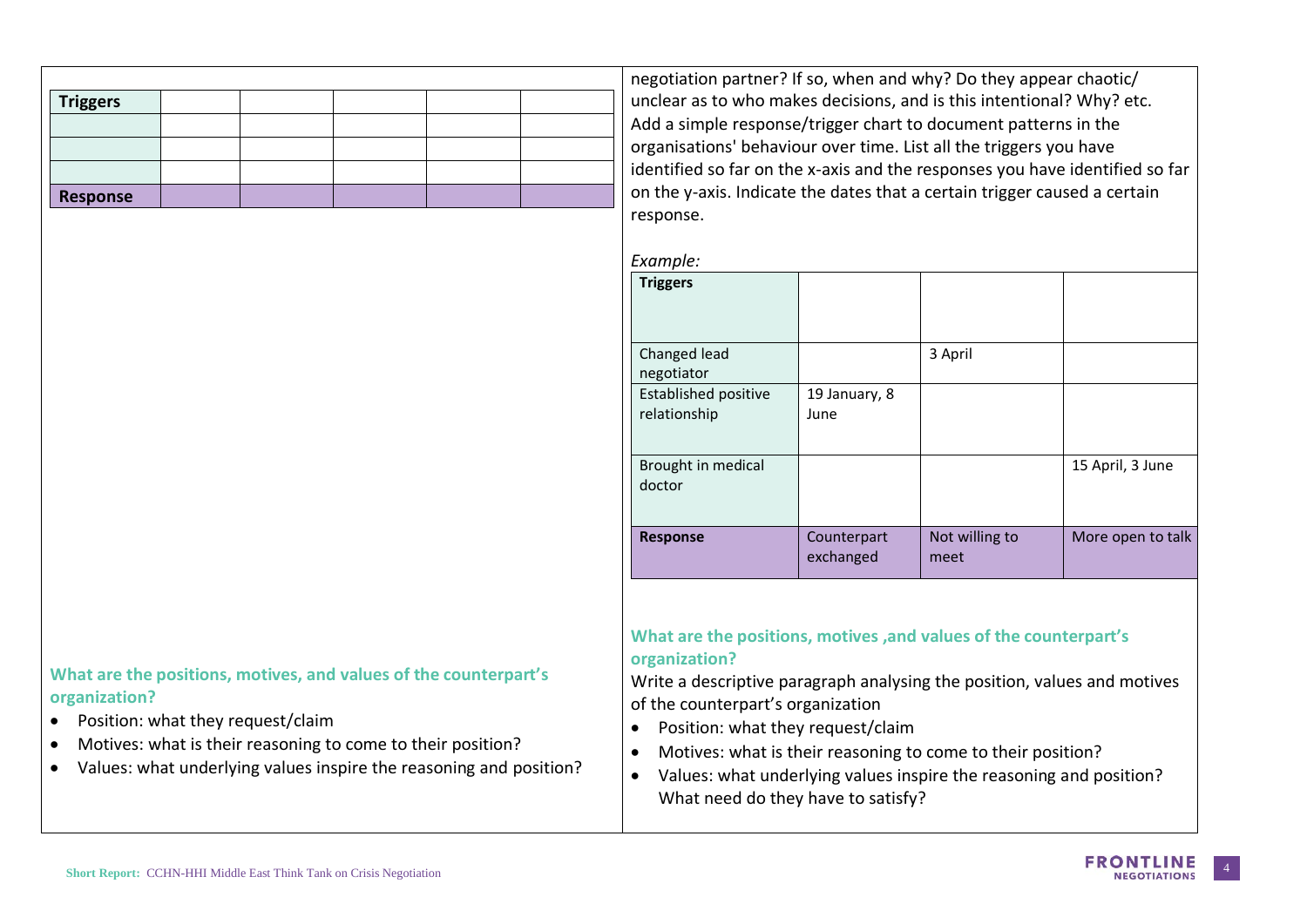| Triggers |  |  |  |
|----------|--|--|--|
|          |  |  |  |
|          |  |  |  |
|          |  |  |  |
| Response |  |  |  |

negotiation partner? If so, when and why? Do they appear chaotic/ unclear as to who makes decisions, and is this intentional? Why? etc. Add a simple response/trigger chart to document patterns in the organisations' behaviour over time. List all the triggers you have identified so far on the x-axis and the responses you have identified so far on the y-axis. Indicate the dates that a certain trigger caused a certain response.

| Example: |
|----------|
|----------|

| . . <del>.</del>                            |                          |                        |                   |
|---------------------------------------------|--------------------------|------------------------|-------------------|
| <b>Triggers</b>                             |                          |                        |                   |
| Changed lead<br>negotiator                  |                          | 3 April                |                   |
| <b>Established positive</b><br>relationship | 19 January, 8<br>June    |                        |                   |
| Brought in medical<br>doctor                |                          |                        | 15 April, 3 June  |
| <b>Response</b>                             | Counterpart<br>exchanged | Not willing to<br>meet | More open to talk |

**What are the positions, motives ,and values of the counterpart's organization?** 

Write a descriptive paragraph analysing the position, values and motives of the counterpart's organization

- Position: what they request/claim
- Motives: what is their reasoning to come to their position?
- Values: what underlying values inspire the reasoning and position? What need do they have to satisfy?

#### **What are the positions, motives, and values of the counterpart's organization?**

- Position: what they request/claim
- Motives: what is their reasoning to come to their position?
- Values: what underlying values inspire the reasoning and position?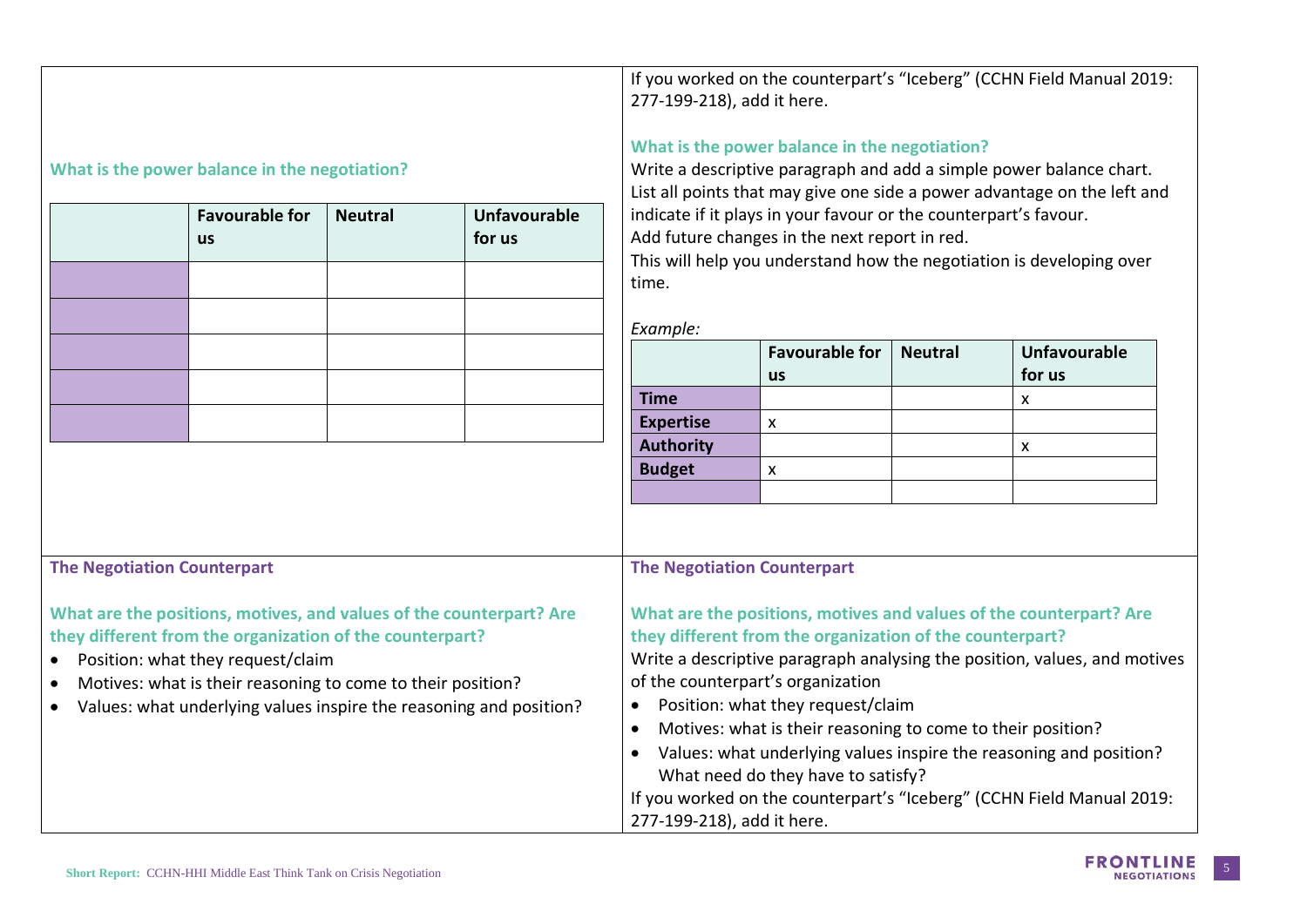|                                    |                |                                                                                    | 277-199-218), add it here.                                                                                                                                                                                                                                           |                                            |                                                                                                                       | If you worked on the counterpart's "Iceberg" (CCHN Field Manual 2019:                                                                                                                                                                                                                                                                                                                                                                                                                                                                                                                                                                                                                                                                                                                                                                                                                                 |
|------------------------------------|----------------|------------------------------------------------------------------------------------|----------------------------------------------------------------------------------------------------------------------------------------------------------------------------------------------------------------------------------------------------------------------|--------------------------------------------|-----------------------------------------------------------------------------------------------------------------------|-------------------------------------------------------------------------------------------------------------------------------------------------------------------------------------------------------------------------------------------------------------------------------------------------------------------------------------------------------------------------------------------------------------------------------------------------------------------------------------------------------------------------------------------------------------------------------------------------------------------------------------------------------------------------------------------------------------------------------------------------------------------------------------------------------------------------------------------------------------------------------------------------------|
| <b>Favourable for</b>              | <b>Neutral</b> | <b>Unfavourable</b><br>for us                                                      |                                                                                                                                                                                                                                                                      |                                            |                                                                                                                       |                                                                                                                                                                                                                                                                                                                                                                                                                                                                                                                                                                                                                                                                                                                                                                                                                                                                                                       |
|                                    |                |                                                                                    | Example:                                                                                                                                                                                                                                                             |                                            |                                                                                                                       |                                                                                                                                                                                                                                                                                                                                                                                                                                                                                                                                                                                                                                                                                                                                                                                                                                                                                                       |
|                                    |                |                                                                                    |                                                                                                                                                                                                                                                                      | <b>Favourable for</b><br><b>us</b>         | <b>Neutral</b>                                                                                                        | <b>Unfavourable</b><br>for us                                                                                                                                                                                                                                                                                                                                                                                                                                                                                                                                                                                                                                                                                                                                                                                                                                                                         |
|                                    |                |                                                                                    | <b>Time</b>                                                                                                                                                                                                                                                          | $\pmb{\chi}$                               |                                                                                                                       | X                                                                                                                                                                                                                                                                                                                                                                                                                                                                                                                                                                                                                                                                                                                                                                                                                                                                                                     |
|                                    |                |                                                                                    | <b>Authority</b>                                                                                                                                                                                                                                                     |                                            |                                                                                                                       | $\mathsf{x}$                                                                                                                                                                                                                                                                                                                                                                                                                                                                                                                                                                                                                                                                                                                                                                                                                                                                                          |
|                                    |                |                                                                                    |                                                                                                                                                                                                                                                                      |                                            |                                                                                                                       |                                                                                                                                                                                                                                                                                                                                                                                                                                                                                                                                                                                                                                                                                                                                                                                                                                                                                                       |
| <b>The Negotiation Counterpart</b> |                |                                                                                    | $\bullet$<br>$\bullet$<br>$\bullet$                                                                                                                                                                                                                                  |                                            |                                                                                                                       |                                                                                                                                                                                                                                                                                                                                                                                                                                                                                                                                                                                                                                                                                                                                                                                                                                                                                                       |
|                                    |                | What is the power balance in the negotiation?<br>Position: what they request/claim | What are the positions, motives, and values of the counterpart? Are<br>they different from the organization of the counterpart?<br>Motives: what is their reasoning to come to their position?<br>Values: what underlying values inspire the reasoning and position? | time.<br><b>Expertise</b><br><b>Budget</b> | $\mathsf{x}$<br><b>The Negotiation Counterpart</b><br>of the counterpart's organization<br>277-199-218), add it here. | What is the power balance in the negotiation?<br>Write a descriptive paragraph and add a simple power balance chart.<br>List all points that may give one side a power advantage on the left and<br>indicate if it plays in your favour or the counterpart's favour.<br>Add future changes in the next report in red.<br>This will help you understand how the negotiation is developing over<br>What are the positions, motives and values of the counterpart? Are<br>they different from the organization of the counterpart?<br>Write a descriptive paragraph analysing the position, values, and motives<br>Position: what they request/claim<br>Motives: what is their reasoning to come to their position?<br>Values: what underlying values inspire the reasoning and position?<br>What need do they have to satisfy?<br>If you worked on the counterpart's "Iceberg" (CCHN Field Manual 2019: |

 $\mathbf{I}$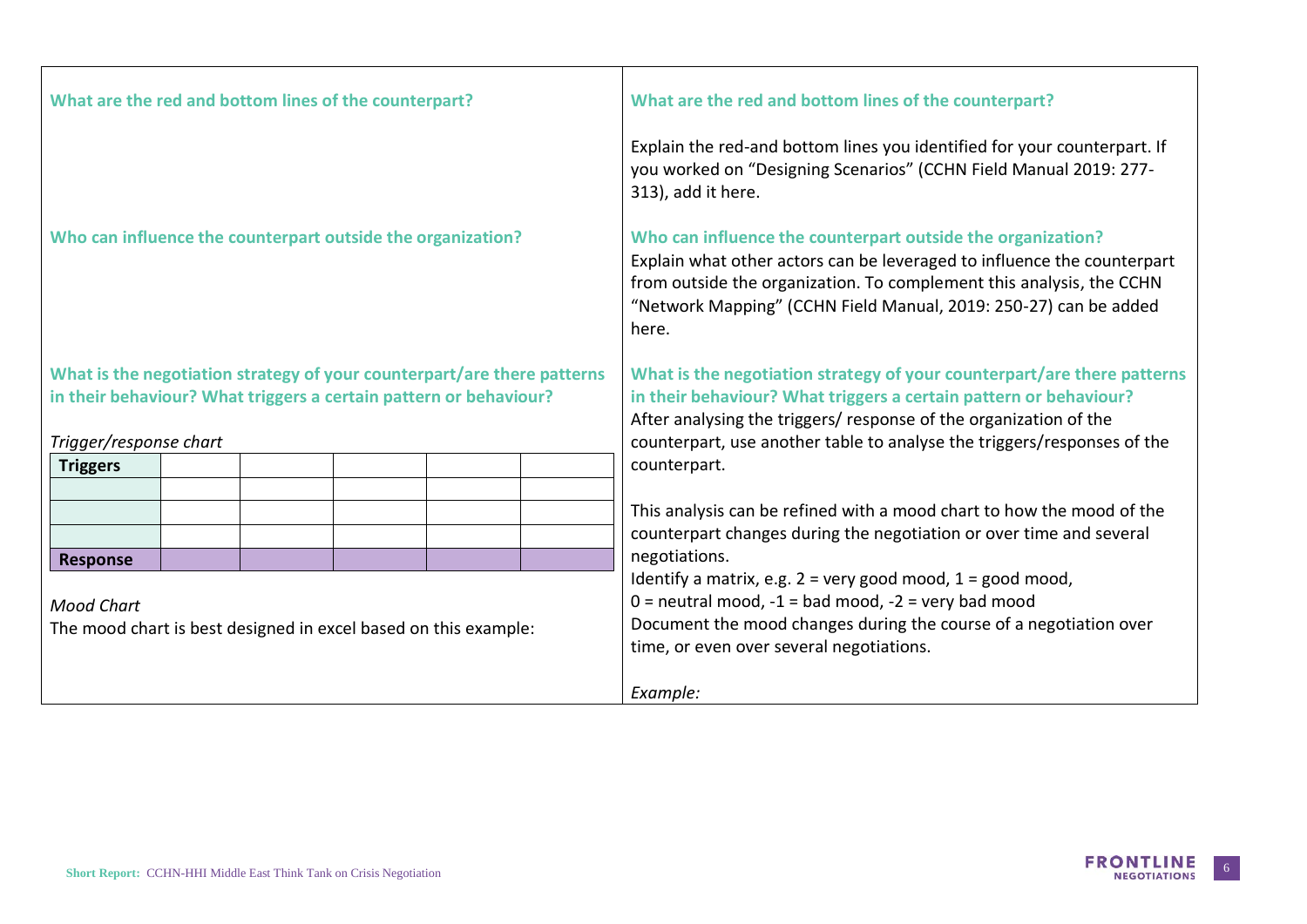| What are the red and bottom lines of the counterpart?                                                                                                                  | What are the red and bottom lines of the counterpart?                                                                                                                                                                                                                                                                                                                                                                     |
|------------------------------------------------------------------------------------------------------------------------------------------------------------------------|---------------------------------------------------------------------------------------------------------------------------------------------------------------------------------------------------------------------------------------------------------------------------------------------------------------------------------------------------------------------------------------------------------------------------|
|                                                                                                                                                                        | Explain the red-and bottom lines you identified for your counterpart. If<br>you worked on "Designing Scenarios" (CCHN Field Manual 2019: 277-<br>313), add it here.                                                                                                                                                                                                                                                       |
| Who can influence the counterpart outside the organization?                                                                                                            | Who can influence the counterpart outside the organization?<br>Explain what other actors can be leveraged to influence the counterpart<br>from outside the organization. To complement this analysis, the CCHN<br>"Network Mapping" (CCHN Field Manual, 2019: 250-27) can be added<br>here.                                                                                                                               |
| What is the negotiation strategy of your counterpart/are there patterns<br>in their behaviour? What triggers a certain pattern or behaviour?<br>Trigger/response chart | What is the negotiation strategy of your counterpart/are there patterns<br>in their behaviour? What triggers a certain pattern or behaviour?<br>After analysing the triggers/ response of the organization of the<br>counterpart, use another table to analyse the triggers/responses of the                                                                                                                              |
| <b>Triggers</b>                                                                                                                                                        | counterpart.                                                                                                                                                                                                                                                                                                                                                                                                              |
| <b>Response</b><br><b>Mood Chart</b><br>The mood chart is best designed in excel based on this example:                                                                | This analysis can be refined with a mood chart to how the mood of the<br>counterpart changes during the negotiation or over time and several<br>negotiations.<br>Identify a matrix, e.g. $2 = \text{very good mood}, 1 = \text{good mood},$<br>$0 =$ neutral mood, $-1 =$ bad mood, $-2 =$ very bad mood<br>Document the mood changes during the course of a negotiation over<br>time, or even over several negotiations. |
|                                                                                                                                                                        | Example:                                                                                                                                                                                                                                                                                                                                                                                                                  |

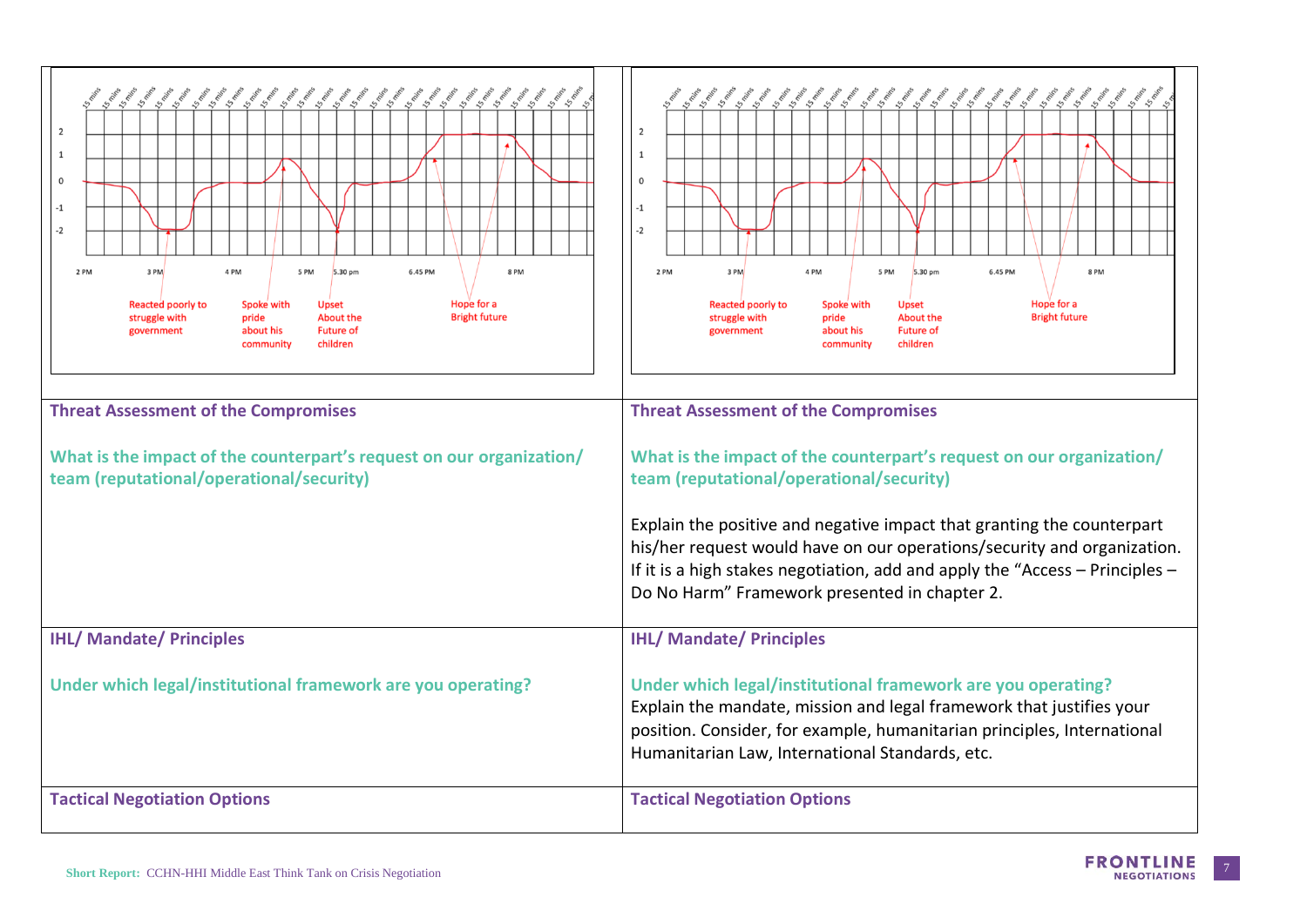| こくちょくちょくちょくちょうしょくちょくちょくちょくちょくちょく<br>$\overline{0}$<br>$-2$<br>2 PM<br>3 PM<br>4 PM<br>5 PM<br>5.30 pm<br>6.45 PM<br>8PM<br>Hope for a<br><b>Reacted poorly to</b><br>Spoke with<br><b>Upset</b><br><b>Bright future</b><br>struggle with<br>pride<br><b>About the</b><br>about his<br><b>Future of</b><br>government<br>children<br>community<br><b>Threat Assessment of the Compromises</b><br>What is the impact of the counterpart's request on our organization/<br>team (reputational/operational/security) | くちょくちょくちょくちょくしょくちょくちょくちょくちょくちょくしょ<br>2<br>0<br>$-1$<br>$-2$<br>2 PM<br>3 PM<br>4 PM<br>5 PM<br>5.30 pm<br>6.45 PM<br>8PM<br>Hope for a<br><b>Reacted poorly to</b><br>Spoke with<br><b>Upset</b><br><b>Bright future</b><br><b>About the</b><br>struggle with<br>pride<br><b>Future of</b><br>about his<br>government<br>children<br>community<br><b>Threat Assessment of the Compromises</b><br>What is the impact of the counterpart's request on our organization/<br>team (reputational/operational/security) |
|------------------------------------------------------------------------------------------------------------------------------------------------------------------------------------------------------------------------------------------------------------------------------------------------------------------------------------------------------------------------------------------------------------------------------------------------------------------------------------------------------------------|-------------------------------------------------------------------------------------------------------------------------------------------------------------------------------------------------------------------------------------------------------------------------------------------------------------------------------------------------------------------------------------------------------------------------------------------------------------------------------------------------------------------|
|                                                                                                                                                                                                                                                                                                                                                                                                                                                                                                                  | Explain the positive and negative impact that granting the counterpart<br>his/her request would have on our operations/security and organization.<br>If it is a high stakes negotiation, add and apply the "Access $-$ Principles $-$<br>Do No Harm" Framework presented in chapter 2.                                                                                                                                                                                                                            |
| <b>IHL/ Mandate/ Principles</b>                                                                                                                                                                                                                                                                                                                                                                                                                                                                                  | <b>IHL/ Mandate/ Principles</b>                                                                                                                                                                                                                                                                                                                                                                                                                                                                                   |
| Under which legal/institutional framework are you operating?                                                                                                                                                                                                                                                                                                                                                                                                                                                     | Under which legal/institutional framework are you operating?<br>Explain the mandate, mission and legal framework that justifies your<br>position. Consider, for example, humanitarian principles, International<br>Humanitarian Law, International Standards, etc.                                                                                                                                                                                                                                                |
| <b>Tactical Negotiation Options</b>                                                                                                                                                                                                                                                                                                                                                                                                                                                                              | <b>Tactical Negotiation Options</b>                                                                                                                                                                                                                                                                                                                                                                                                                                                                               |

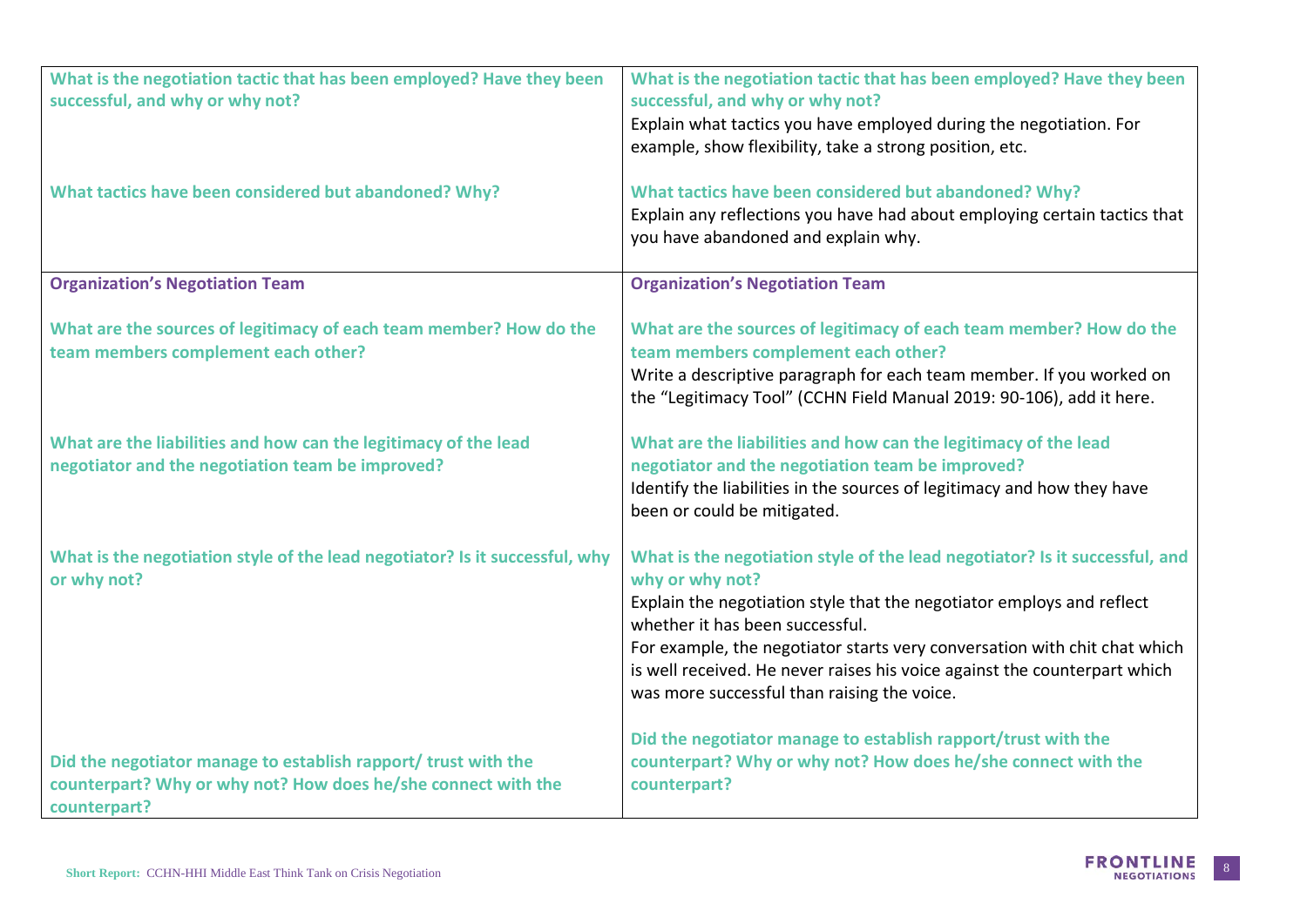| What is the negotiation tactic that has been employed? Have they been<br>successful, and why or why not?                                        | What is the negotiation tactic that has been employed? Have they been<br>successful, and why or why not?<br>Explain what tactics you have employed during the negotiation. For                                                |
|-------------------------------------------------------------------------------------------------------------------------------------------------|-------------------------------------------------------------------------------------------------------------------------------------------------------------------------------------------------------------------------------|
|                                                                                                                                                 | example, show flexibility, take a strong position, etc.                                                                                                                                                                       |
| What tactics have been considered but abandoned? Why?                                                                                           | What tactics have been considered but abandoned? Why?<br>Explain any reflections you have had about employing certain tactics that<br>you have abandoned and explain why.                                                     |
| <b>Organization's Negotiation Team</b>                                                                                                          | <b>Organization's Negotiation Team</b>                                                                                                                                                                                        |
| What are the sources of legitimacy of each team member? How do the<br>team members complement each other?                                       | What are the sources of legitimacy of each team member? How do the<br>team members complement each other?                                                                                                                     |
|                                                                                                                                                 | Write a descriptive paragraph for each team member. If you worked on<br>the "Legitimacy Tool" (CCHN Field Manual 2019: 90-106), add it here.                                                                                  |
| What are the liabilities and how can the legitimacy of the lead<br>negotiator and the negotiation team be improved?                             | What are the liabilities and how can the legitimacy of the lead<br>negotiator and the negotiation team be improved?<br>Identify the liabilities in the sources of legitimacy and how they have<br>been or could be mitigated. |
| What is the negotiation style of the lead negotiator? Is it successful, why<br>or why not?                                                      | What is the negotiation style of the lead negotiator? Is it successful, and<br>why or why not?                                                                                                                                |
|                                                                                                                                                 | Explain the negotiation style that the negotiator employs and reflect<br>whether it has been successful.                                                                                                                      |
|                                                                                                                                                 | For example, the negotiator starts very conversation with chit chat which<br>is well received. He never raises his voice against the counterpart which<br>was more successful than raising the voice.                         |
| Did the negotiator manage to establish rapport/ trust with the<br>counterpart? Why or why not? How does he/she connect with the<br>counterpart? | Did the negotiator manage to establish rapport/trust with the<br>counterpart? Why or why not? How does he/she connect with the<br>counterpart?                                                                                |

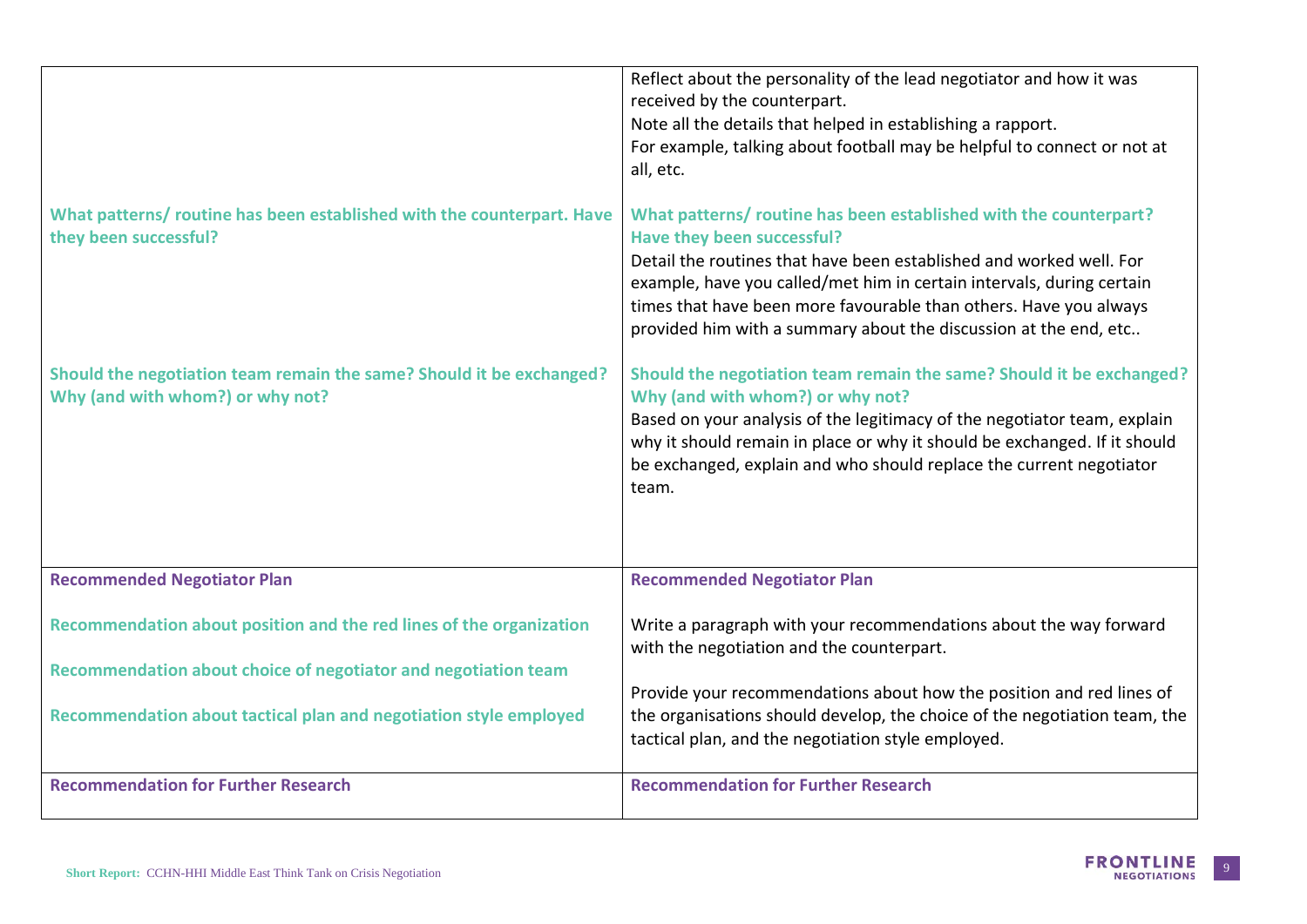|                                                                                                          | Reflect about the personality of the lead negotiator and how it was<br>received by the counterpart.<br>Note all the details that helped in establishing a rapport.<br>For example, talking about football may be helpful to connect or not at<br>all, etc.                                                                                                                               |
|----------------------------------------------------------------------------------------------------------|------------------------------------------------------------------------------------------------------------------------------------------------------------------------------------------------------------------------------------------------------------------------------------------------------------------------------------------------------------------------------------------|
| What patterns/ routine has been established with the counterpart. Have<br>they been successful?          | What patterns/ routine has been established with the counterpart?<br>Have they been successful?<br>Detail the routines that have been established and worked well. For<br>example, have you called/met him in certain intervals, during certain<br>times that have been more favourable than others. Have you always<br>provided him with a summary about the discussion at the end, etc |
| Should the negotiation team remain the same? Should it be exchanged?<br>Why (and with whom?) or why not? | Should the negotiation team remain the same? Should it be exchanged?<br>Why (and with whom?) or why not?<br>Based on your analysis of the legitimacy of the negotiator team, explain<br>why it should remain in place or why it should be exchanged. If it should<br>be exchanged, explain and who should replace the current negotiator<br>team.                                        |
| <b>Recommended Negotiator Plan</b>                                                                       | <b>Recommended Negotiator Plan</b>                                                                                                                                                                                                                                                                                                                                                       |
| Recommendation about position and the red lines of the organization                                      | Write a paragraph with your recommendations about the way forward<br>with the negotiation and the counterpart.                                                                                                                                                                                                                                                                           |
| Recommendation about choice of negotiator and negotiation team                                           | Provide your recommendations about how the position and red lines of                                                                                                                                                                                                                                                                                                                     |
| Recommendation about tactical plan and negotiation style employed                                        | the organisations should develop, the choice of the negotiation team, the<br>tactical plan, and the negotiation style employed.                                                                                                                                                                                                                                                          |
| <b>Recommendation for Further Research</b>                                                               | <b>Recommendation for Further Research</b>                                                                                                                                                                                                                                                                                                                                               |

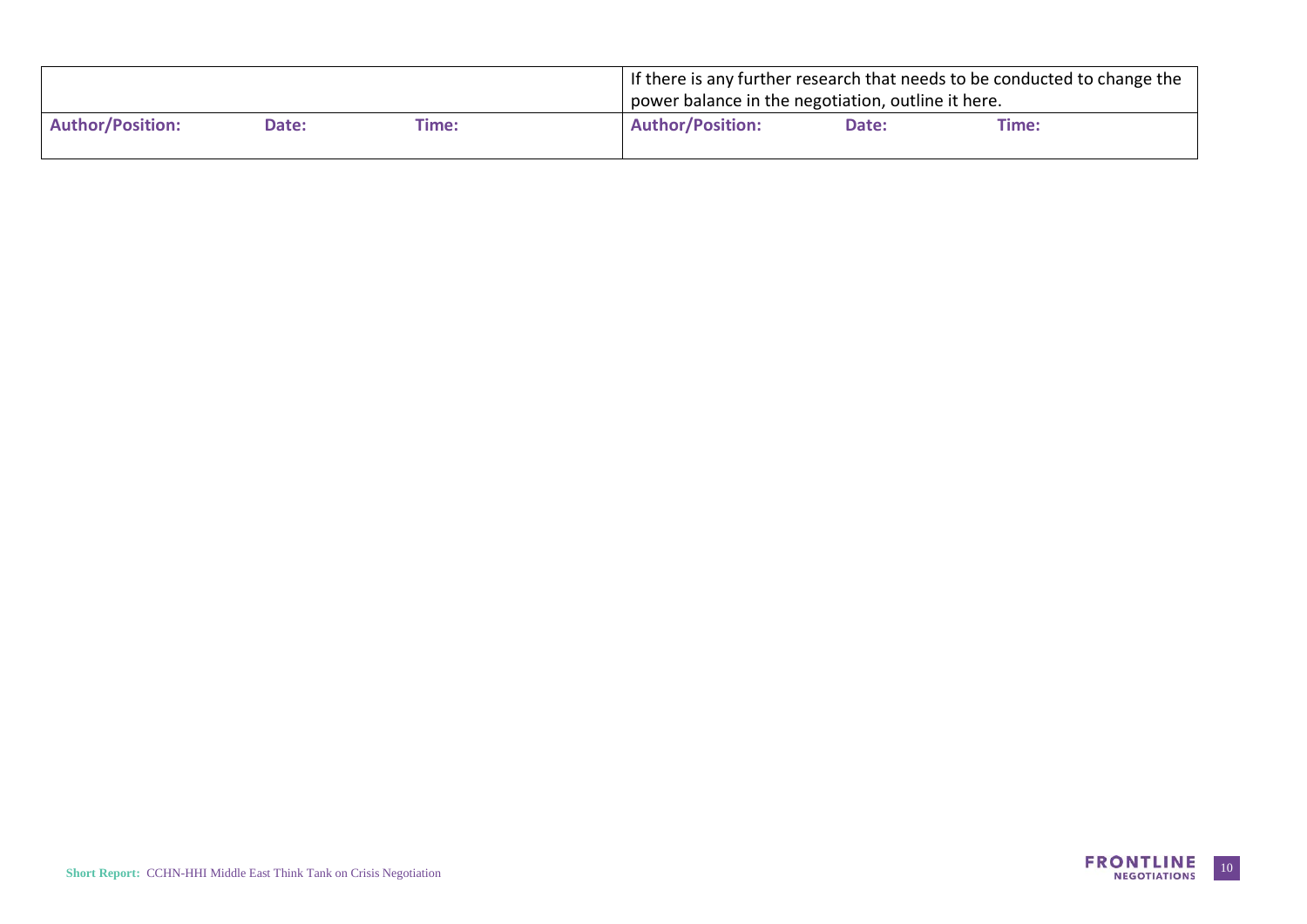|                         |       |       | If there is any further research that needs to be conducted to change the |
|-------------------------|-------|-------|---------------------------------------------------------------------------|
|                         |       |       | power balance in the negotiation, outline it here.                        |
| <b>Author/Position:</b> | Date: | Time: | <b>Author/Position:</b><br>Date:<br>Time:                                 |
|                         |       |       |                                                                           |